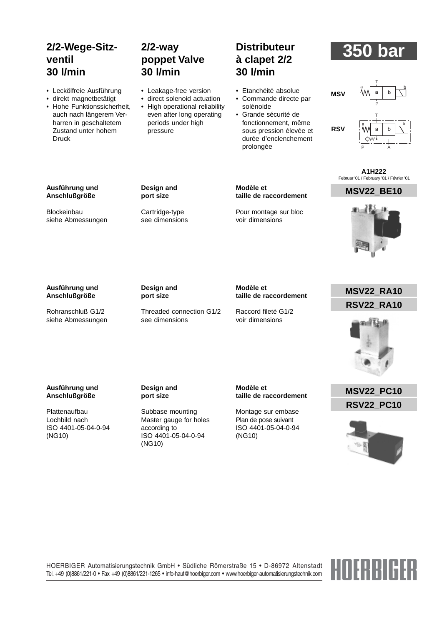# **2/2-Wege-Sitzventil 30 l/min**

- Leckölfreie Ausführung
- direkt magnetbetätigt
- Hohe Funktionssicherheit, auch nach längerem Verharren in geschaltetem Zustand unter hohem Druck

# **2/2-way poppet Valve 30 l/min**

- Leakage-free version
- direct solenoid actuation • High operational reliability even after long operating periods under high pressure

# **Distributeur à clapet 2/2 30 l/min**

- Etanchéité absolue
- Commande directe par
- solénoide • Grande sécurité de fonctionnement, même sous pression élevée et durée d'enclenchement prolongée

# **bar**



**A1H222** Februar '01 / February '01 / Février '01

#### **Ausführung und Anschlußgröße**

Blockeinbau siehe Abmessungen

#### **Design and port size**

Cartridge-type see dimensions

#### **Modèle et taille de raccordement**

Pour montage sur bloc voir dimensions



#### **Ausführung und Anschlußgröße**

Rohranschluß G1/2 siehe Abmessungen

#### **Design and port size**

Threaded connection G1/2 see dimensions

#### **Modèle et taille de raccordement**

Raccord fileté G1/2 voir dimensions

# **MSV22\_RA10 RSV22\_RA10**



## **Ausführung und Anschlußgröße**

Plattenaufbau Lochbild nach ISO 4401-05-04-0-94 (NG10)

#### **Design and port size**

Subbase mounting Master gauge for holes according to ISO 4401-05-04-0-94 (NG10)

#### **Modèle et taille de raccordement**

Montage sur embase Plan de pose suivant ISO 4401-05-04-0-94 (NG10)

# **MSV22\_PC10 RSV22\_PC10**



HOERBIGER Automatisierungstechnik GmbH • Südliche Römerstraße 15 • D-86972 Altenstadt Tel. +49 (0)8861/221-0 • Fax +49 (0)8861/221-1265 • info-haut@hoerbiger.com • www.hoerbiger-automatisierungstechnik.com

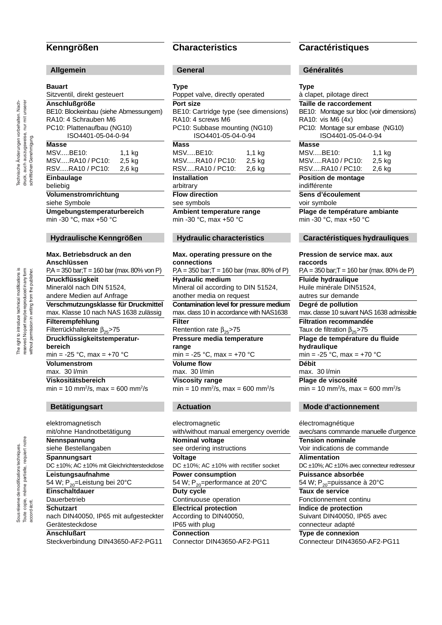# **Kenngrößen**

## **Allgemein**

#### **Bauart**

Sitzventil, direkt gesteuert **Anschlußgröße** BE10: Blockeinbau (siehe Abmessungem) RA10: 4 Schrauben M6 PC10: Plattenaufbau (NG10) ISO4401-05-04-0-94

# **Masse**

MSV.....BE10: 1,1 kg MSV.....RA10 / PC10: 2,5 kg RSV.....RA10 / PC10: 2,6 kg

#### **Einbaulage** beliebig

**Volumenstromrichtung** siehe Symbole

**Umgebungstemperaturbereich** min -30 °C, max +50 °C

#### **Hydraulische Kenngrößen**

## **Max. Betriebsdruck an den Anschlüssen** P,A = 350 bar;T = 160 bar (max. 80% von P) **Druckflüssigkeit** Mineralöl nach DIN 51524, andere Medien auf Anfrage **Verschmutzungsklasse für Druckmittel** max. Klasse 10 nach NAS 1638 zulässig **Filterempfehlung** Filterrückhalterate  $\beta_{25}$ >75 **Druckflüssigkeitstemperaturbereich** min =  $-25 °C$ , max =  $+70 °C$ **Volumenstrom** max. 30 l/min **Viskositätsbereich** min = 10 mm2 /s, max = 600 mm2/s

#### **Betätigungsart**

elektromagnetisch mit/ohne Handnotbetätigung **Nennspannung** siehe Bestellangaben **Spannungsart** DC ±10%; AC ±10% mit Gleichrichtersteckdose **Leistungsaufnahme** 54 W; P<sub>20</sub>=Leistung bei 20°C **Einschaltdauer**

**Dauerbetrieb Schutzart**

nach DIN40050, IP65 mit aufgesteckter Gerätesteckdose **Anschlußart**

Steckverbindung DIN43650-AF2-PG11

# **Characteristics**

## **General**

### **Type**

Poppet valve, directly operated **Port size** BE10: Cartridge type (see dimensions) RA10: 4 screws M6 PC10: Subbase mounting (NG10) ISO4401-05-04-0-94 **Mass** MSV.....BE10: 1,1 kg MSV.....RA10 / PC10: 2,5 kg RSV.....RA10 / PC10: 2,6 kg **Installation** arbitrary **Flow direction** see symbols

**Ambient temperature range** min -30 °C, max +50 °C

#### **Hydraulic characteristics**

**Max. operating pressure on the connections**  $PA = 350$  bar;  $T = 160$  bar (max. 80% of P) **Hydraulic medium** Mineral oil according to DIN 51524, another media on request **Contamination level for pressure medium** max. class 10 in accordance with NAS1638 **Filter** Rentention rate  $\beta_{25}$ >75 **Pressure media temperature range** min =  $-25 °C$ , max =  $+70 °C$ **Volume flow** max. 30 l/min **Viscosity range** min = 10 mm²/s, max = 600 mm²/s

## **Actuation**

electromagnetic with/without manual emergency override **Nominal voltage** see ordering instructions **Voltage** DC ±10%; AC ±10% with rectifier socket **Power consumption** 54 W;  $P_{20}$ =performance at 20°C **Duty cycle** Continuouse operation **Electrical protection** According to DIN40050, IP65 with plug **Connection** Connector DIN43650-AF2-PG11

# **Caractéristiques**

## **Généralités**

| Type<br>à clapet, pilotage direct                           |
|-------------------------------------------------------------|
| Taille de raccordement                                      |
| BE10: Montage sur bloc (voir dimensions)                    |
| RA10: vis M6 (4x)                                           |
| PC10: Montage sur embase (NG10)                             |
| ISO4401-05-04-0-94                                          |
| <b>Masse</b>                                                |
| MSVBE10:<br>1,1 kg                                          |
| MSVRA10 / PC10:<br>$2,5$ kg                                 |
| RSVRA10 / PC10:<br>2,6 kg                                   |
| <b>Position de montage</b>                                  |
| indifférente                                                |
| Sens d'écoulement                                           |
| voir symbole                                                |
| Plage de température ambiante                               |
| min -30 °C, max +50 °C                                      |
|                                                             |
| Caractéristiques hydrauliques                               |
|                                                             |
| Pression de service max. aux                                |
| raccords                                                    |
| $P,A = 350$ bar; T = 160 bar (max. 80% de P)                |
| <b>Fluide hydraulique</b>                                   |
| Huile minérale DIN51524,                                    |
| autres sur demande                                          |
| Degré de pollution                                          |
| max. classe 10 suivant NAS 1638 admissible                  |
| Filtration recommandée                                      |
| Taux de filtration $\beta_{25}$ >75                         |
| Plage de température du fluide                              |
| hydraulique                                                 |
| min = -25 °C, max = +70 °C                                  |
| <b>Débit</b>                                                |
| max. 30 l/min                                               |
| Plage de viscosité                                          |
| $min = 10$ mm <sup>2</sup> /s, max = 600 mm <sup>2</sup> /s |
|                                                             |
| <b>Mode d'actionnement</b>                                  |
| électromagnétique                                           |
| avec/sans commande manuelle d'urgence                       |
| <b>Tension nominale</b>                                     |
| Voir indications de commande                                |
| <b>Alimentation</b>                                         |
|                                                             |

DC ±10%; AC ±10% avec connecteur redresseur

**Puissance absorbée** 54 W; P<sub>20</sub>=puissance à 20°C **Taux de service** Fonctionnement continu **Indice de protection** Suivant DIN40050, IP65 avec connecteur adapté **Type de connexion**

Connecteur DIN43650-AF2-PG11

The right to introduce technical modifications is The right to introduce technical modifications is reserved. No part may be reproduced in any form reserved. No part may be reproduced in any form without permission in writing from the publisher. without permission in writing from the publisher.

accord écrit.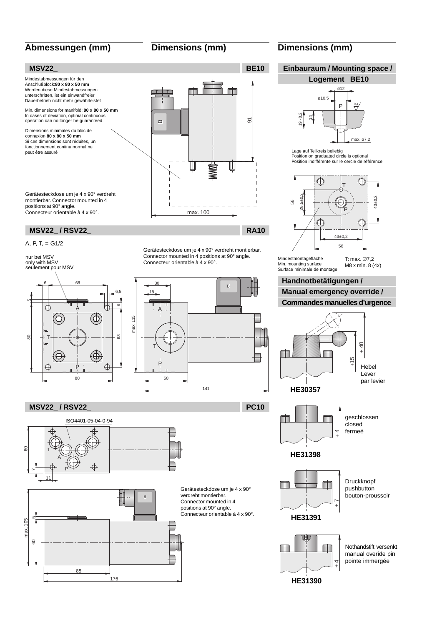#### **MSV22\_**

Mindestabmessungen für den Anschlußblock:**80 x 80 x 50 mm** Werden diese Mindestabmessungen unterschritten, ist ein einwandfreier Dauerbetrieb nicht mehr gewährleistet Min. dimensions for manifold: **80 x 80 x 50 mm** In cases of deviation, optimal continuous operation can no longer be guaranteed. Dimensions minimales du bloc de connexion:**80 x 80 x 50 mm** Si ces dimensions sont réduites, un fonctionnement continu normal ne

Gerätesteckdose um je 4 x 90° verdreht montierbar. Connector mounted in 4 positions at 90° angle. Connecteur orientable à 4 x 90°.

# **MSV22\_ / RSV22\_**

#### A, P, T,  $=$  G1/2



## **MSV22\_ / RSV22\_**



Gerätesteckdose um je 4 x 90° verdreht montierbar. Connector mounted in 4 positions at 90° angle. Connecteur orientable à 4 x 90°.

max. 100



Gerätesteckdose um je 4 x 90° verdreht montierbar. Connector mounted in 4 positions at 90° angle. Connecteur orientable à 4 x 90°.



peut être assuré<br>
Position on graduated circle is optional<br>
Position indifférente sur le cercle de référence<br>
Position indifférente sur le cercle de référence



Mindestmontagefläche Min. mounting surface Surface minimale de montage

T<sup>*max. ⊘7.2*</sup> M8 x min. 8 (4x)

## **Handnotbetätigungen /**

## **Manual emergency override / Commandes manuelles d'urgence**





**HE31398**



Druckknopf pushbutton bouton-proussoir



Nothandstift versenkt manual overide pin pointe immergée

**Abmessungen (mm) Dimensions (mm) Dimensions (mm)**

91

U

**RA10**

**BE10**

 $\infty$